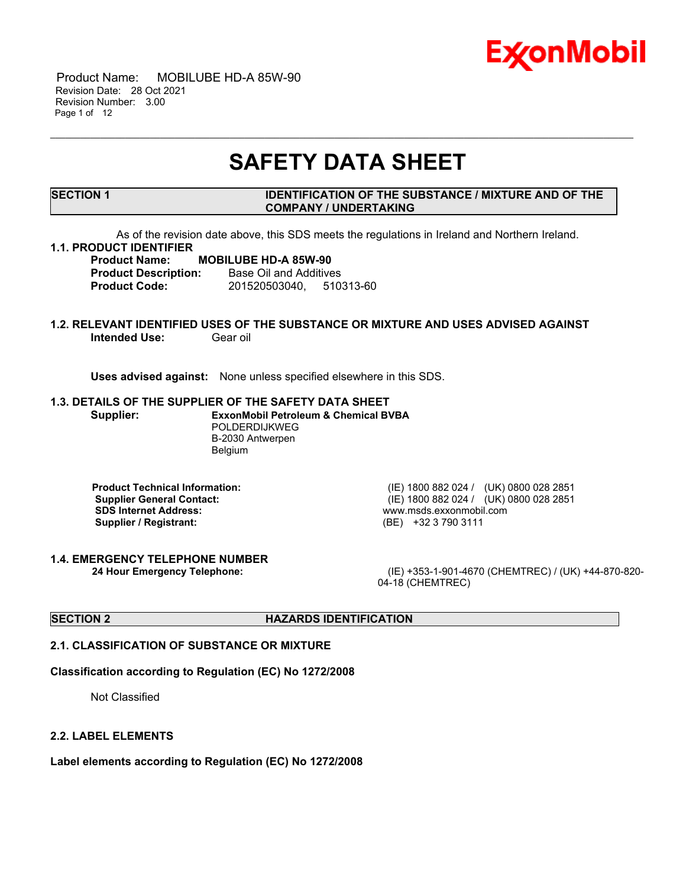

 Product Name: MOBILUBE HD-A 85W-90 Revision Date: 28 Oct 2021 Revision Number: 3.00 Page 1 of 12

## **SAFETY DATA SHEET**

\_\_\_\_\_\_\_\_\_\_\_\_\_\_\_\_\_\_\_\_\_\_\_\_\_\_\_\_\_\_\_\_\_\_\_\_\_\_\_\_\_\_\_\_\_\_\_\_\_\_\_\_\_\_\_\_\_\_\_\_\_\_\_\_\_\_\_\_\_\_\_\_\_\_\_\_\_\_\_\_\_\_\_\_\_\_\_\_\_\_\_\_\_\_\_\_\_\_\_\_\_\_\_\_\_\_\_\_\_\_\_\_\_\_\_\_\_

#### **SECTION 1 IDENTIFICATION OF THE SUBSTANCE / MIXTURE AND OF THE COMPANY / UNDERTAKING**

As of the revision date above, this SDS meets the regulations in Ireland and Northern Ireland.

#### **1.1. PRODUCT IDENTIFIER**

**Product Name: MOBILUBE HD-A 85W-90 Product Description:** Base Oil and Additives **Product Code:** 201520503040, 510313-60

#### **1.2. RELEVANT IDENTIFIED USES OF THE SUBSTANCE OR MIXTURE AND USES ADVISED AGAINST Intended Use:** Gear oil

**Uses advised against:** None unless specified elsewhere in this SDS.

#### **1.3. DETAILS OF THE SUPPLIER OF THE SAFETY DATA SHEET**

**Supplier: ExxonMobil Petroleum & Chemical BVBA** POLDERDIJKWEG B-2030 Antwerpen Belgium

**SDS Internet Address:** www.msds.exxonmobil.com **Supplier / Registrant:** (BE) +32 3 790 3111

**1.4. EMERGENCY TELEPHONE NUMBER**

**Product Technical Information:** (IE) 1800 882 024 / (UK) 0800 028 2851 **Supplier General Contact:** (IE) 1800 882 024 / (UK) 0800 028 2851

**24 Hour Emergency Telephone:** (IE) +353-1-901-4670 (CHEMTREC) / (UK) +44-870-820- 04-18 (CHEMTREC)

### **SECTION 2 HAZARDS IDENTIFICATION**

### **2.1. CLASSIFICATION OF SUBSTANCE OR MIXTURE**

#### **Classification according to Regulation (EC) No 1272/2008**

Not Classified

#### **2.2. LABEL ELEMENTS**

**Label elements according to Regulation (EC) No 1272/2008**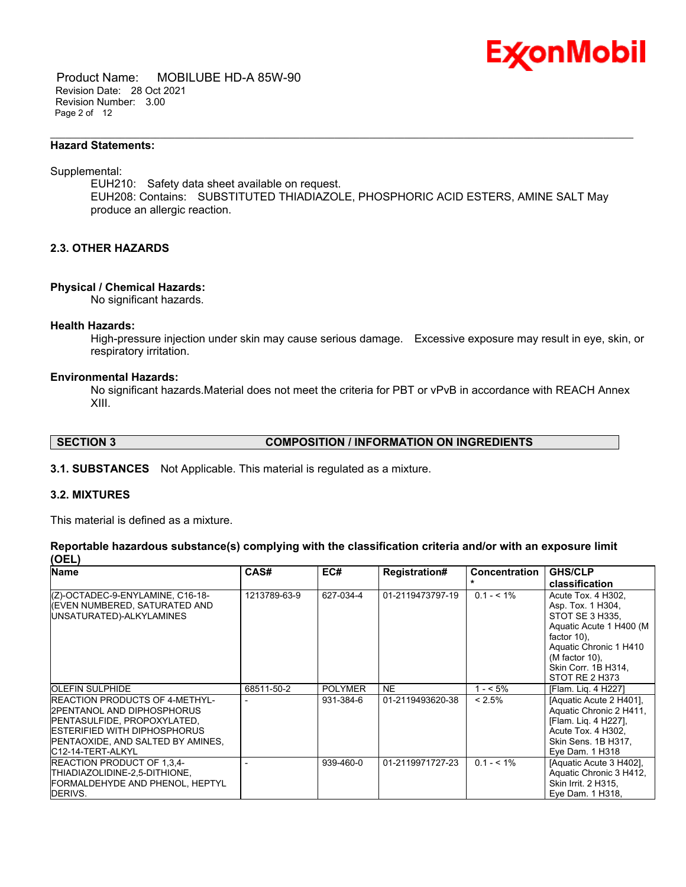

 Product Name: MOBILUBE HD-A 85W-90 Revision Date: 28 Oct 2021 Revision Number: 3.00 Page 2 of 12

#### **Hazard Statements:**

Supplemental:

EUH210: Safety data sheet available on request. EUH208: Contains: SUBSTITUTED THIADIAZOLE, PHOSPHORIC ACID ESTERS, AMINE SALT May produce an allergic reaction.

\_\_\_\_\_\_\_\_\_\_\_\_\_\_\_\_\_\_\_\_\_\_\_\_\_\_\_\_\_\_\_\_\_\_\_\_\_\_\_\_\_\_\_\_\_\_\_\_\_\_\_\_\_\_\_\_\_\_\_\_\_\_\_\_\_\_\_\_\_\_\_\_\_\_\_\_\_\_\_\_\_\_\_\_\_\_\_\_\_\_\_\_\_\_\_\_\_\_\_\_\_\_\_\_\_\_\_\_\_\_\_\_\_\_\_\_\_

### **2.3. OTHER HAZARDS**

#### **Physical / Chemical Hazards:**

No significant hazards.

#### **Health Hazards:**

High-pressure injection under skin may cause serious damage. Excessive exposure may result in eye, skin, or respiratory irritation.

#### **Environmental Hazards:**

No significant hazards.Material does not meet the criteria for PBT or vPvB in accordance with REACH Annex XIII.

#### **SECTION 3 COMPOSITION / INFORMATION ON INGREDIENTS**

**3.1. SUBSTANCES** Not Applicable. This material is regulated as a mixture.

#### **3.2. MIXTURES**

This material is defined as a mixture.

#### **Reportable hazardous substance(s) complying with the classification criteria and/or with an exposure limit (OEL)**

| Name                                                                                                                                                                                                                  | CAS#         | EC#            | <b>Registration#</b> | <b>Concentration</b> | <b>GHS/CLP</b><br>classification                                                                                                                                                                 |
|-----------------------------------------------------------------------------------------------------------------------------------------------------------------------------------------------------------------------|--------------|----------------|----------------------|----------------------|--------------------------------------------------------------------------------------------------------------------------------------------------------------------------------------------------|
| (Z)-OCTADEC-9-ENYLAMINE, C16-18-<br>(EVEN NUMBERED, SATURATED AND<br>UNSATURATED)-ALKYLAMINES                                                                                                                         | 1213789-63-9 | 627-034-4      | 01-2119473797-19     | $0.1 - 5.1\%$        | Acute Tox. 4 H302.<br>Asp. Tox. 1 H304,<br>STOT SE 3 H335,<br>Aquatic Acute 1 H400 (M)<br>factor $10$ ).<br>Aquatic Chronic 1 H410<br>$(M factor 10)$ ,<br>Skin Corr. 1B H314,<br>STOT RE 2 H373 |
| <b>OLEFIN SULPHIDE</b>                                                                                                                                                                                                | 68511-50-2   | <b>POLYMER</b> | <b>NE</b>            | $1 - 5\%$            | [Flam. Lig. 4 H227]                                                                                                                                                                              |
| <b>IREACTION PRODUCTS OF 4-METHYL-</b><br><b>I2PENTANOL AND DIPHOSPHORUS</b><br><b>PENTASULFIDE, PROPOXYLATED,</b><br><b>IESTERIFIED WITH DIPHOSPHORUS</b><br>PENTAOXIDE, AND SALTED BY AMINES,<br>IC12-14-TERT-ALKYL |              | 931-384-6      | 01-2119493620-38     | < 2.5%               | [Aquatic Acute 2 H401].<br>Aquatic Chronic 2 H411,<br>[Flam. Lig. 4 H227],<br>Acute Tox. 4 H302.<br>Skin Sens. 1B H317,<br>Eye Dam. 1 H318                                                       |
| <b>REACTION PRODUCT OF 1.3.4-</b><br>ITHIADIAZOLIDINE-2.5-DITHIONE.<br>FORMALDEHYDE AND PHENOL, HEPTYL<br>DERIVS.                                                                                                     |              | 939-460-0      | 01-2119971727-23     | $0.1 - 5.1\%$        | [Aquatic Acute 3 H402],<br>Aquatic Chronic 3 H412,<br>Skin Irrit. 2 H315,<br>Eye Dam. 1 H318,                                                                                                    |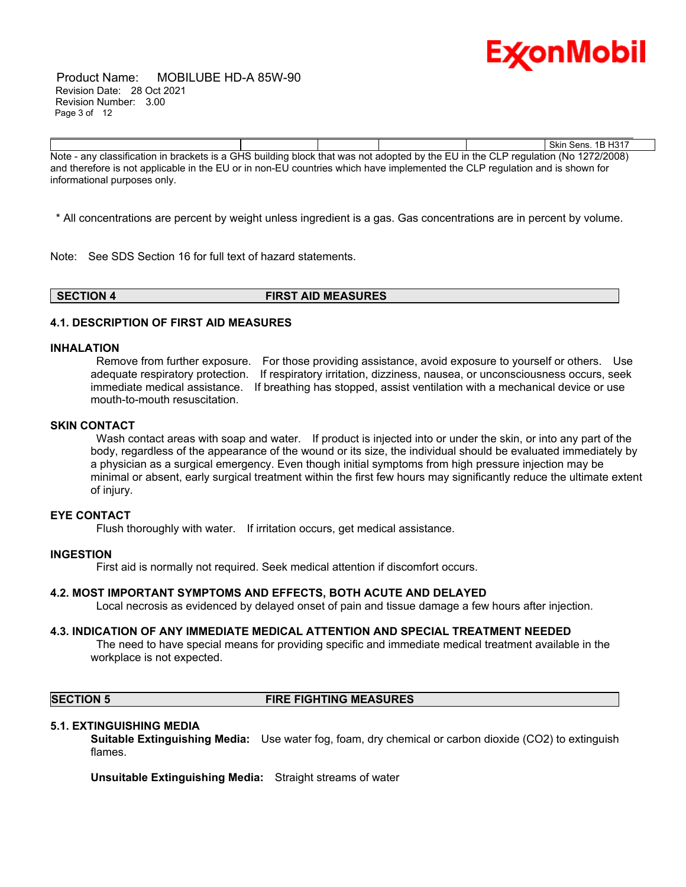

 Product Name: MOBILUBE HD-A 85W-90 Revision Date: 28 Oct 2021 Revision Number: 3.00 Page 3 of 12

Skin Sens. 1B H317 Note - any classification in brackets is a GHS building block that was not adopted by the EU in the CLP regulation (No 1272/2008) and therefore is not applicable in the EU or in non-EU countries which have implemented the CLP regulation and is shown for informational purposes only.

\_\_\_\_\_\_\_\_\_\_\_\_\_\_\_\_\_\_\_\_\_\_\_\_\_\_\_\_\_\_\_\_\_\_\_\_\_\_\_\_\_\_\_\_\_\_\_\_\_\_\_\_\_\_\_\_\_\_\_\_\_\_\_\_\_\_\_\_\_\_\_\_\_\_\_\_\_\_\_\_\_\_\_\_\_\_\_\_\_\_\_\_\_\_\_\_\_\_\_\_\_\_\_\_\_\_\_\_\_\_\_\_\_\_\_\_\_

\* All concentrations are percent by weight unless ingredient is a gas. Gas concentrations are in percent by volume.

Note: See SDS Section 16 for full text of hazard statements.

**SECTION 4 FIRST AID MEASURES**

#### **4.1. DESCRIPTION OF FIRST AID MEASURES**

#### **INHALATION**

Remove from further exposure. For those providing assistance, avoid exposure to yourself or others. Use adequate respiratory protection. If respiratory irritation, dizziness, nausea, or unconsciousness occurs, seek immediate medical assistance. If breathing has stopped, assist ventilation with a mechanical device or use mouth-to-mouth resuscitation.

#### **SKIN CONTACT**

Wash contact areas with soap and water. If product is injected into or under the skin, or into any part of the body, regardless of the appearance of the wound or its size, the individual should be evaluated immediately by a physician as a surgical emergency. Even though initial symptoms from high pressure injection may be minimal or absent, early surgical treatment within the first few hours may significantly reduce the ultimate extent of injury.

#### **EYE CONTACT**

Flush thoroughly with water. If irritation occurs, get medical assistance.

#### **INGESTION**

First aid is normally not required. Seek medical attention if discomfort occurs.

#### **4.2. MOST IMPORTANT SYMPTOMS AND EFFECTS, BOTH ACUTE AND DELAYED**

Local necrosis as evidenced by delayed onset of pain and tissue damage a few hours after injection.

#### **4.3. INDICATION OF ANY IMMEDIATE MEDICAL ATTENTION AND SPECIAL TREATMENT NEEDED**

The need to have special means for providing specific and immediate medical treatment available in the workplace is not expected.

#### **SECTION 5 FIRE FIGHTING MEASURES**

#### **5.1. EXTINGUISHING MEDIA**

**Suitable Extinguishing Media:** Use water fog, foam, dry chemical or carbon dioxide (CO2) to extinguish flames.

**Unsuitable Extinguishing Media:** Straight streams of water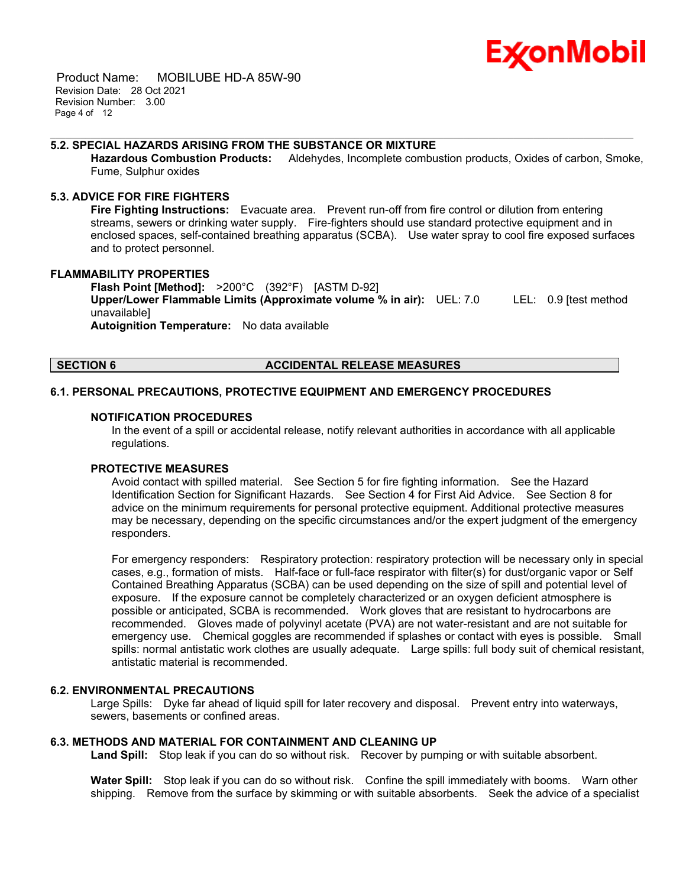

 Product Name: MOBILUBE HD-A 85W-90 Revision Date: 28 Oct 2021 Revision Number: 3.00 Page 4 of 12

#### **5.2. SPECIAL HAZARDS ARISING FROM THE SUBSTANCE OR MIXTURE**

**Hazardous Combustion Products:** Aldehydes, Incomplete combustion products, Oxides of carbon, Smoke, Fume, Sulphur oxides

\_\_\_\_\_\_\_\_\_\_\_\_\_\_\_\_\_\_\_\_\_\_\_\_\_\_\_\_\_\_\_\_\_\_\_\_\_\_\_\_\_\_\_\_\_\_\_\_\_\_\_\_\_\_\_\_\_\_\_\_\_\_\_\_\_\_\_\_\_\_\_\_\_\_\_\_\_\_\_\_\_\_\_\_\_\_\_\_\_\_\_\_\_\_\_\_\_\_\_\_\_\_\_\_\_\_\_\_\_\_\_\_\_\_\_\_\_

### **5.3. ADVICE FOR FIRE FIGHTERS**

**Fire Fighting Instructions:** Evacuate area. Prevent run-off from fire control or dilution from entering streams, sewers or drinking water supply. Fire-fighters should use standard protective equipment and in enclosed spaces, self-contained breathing apparatus (SCBA). Use water spray to cool fire exposed surfaces and to protect personnel.

#### **FLAMMABILITY PROPERTIES**

**Flash Point [Method]:** >200°C (392°F) [ASTM D-92] **Upper/Lower Flammable Limits (Approximate volume % in air):** UEL: 7.0 LEL: 0.9 [test method unavailable] **Autoignition Temperature:** No data available

### **SECTION 6 ACCIDENTAL RELEASE MEASURES**

#### **6.1. PERSONAL PRECAUTIONS, PROTECTIVE EQUIPMENT AND EMERGENCY PROCEDURES**

#### **NOTIFICATION PROCEDURES**

In the event of a spill or accidental release, notify relevant authorities in accordance with all applicable regulations.

#### **PROTECTIVE MEASURES**

Avoid contact with spilled material. See Section 5 for fire fighting information. See the Hazard Identification Section for Significant Hazards. See Section 4 for First Aid Advice. See Section 8 for advice on the minimum requirements for personal protective equipment. Additional protective measures may be necessary, depending on the specific circumstances and/or the expert judgment of the emergency responders.

For emergency responders: Respiratory protection: respiratory protection will be necessary only in special cases, e.g., formation of mists. Half-face or full-face respirator with filter(s) for dust/organic vapor or Self Contained Breathing Apparatus (SCBA) can be used depending on the size of spill and potential level of exposure. If the exposure cannot be completely characterized or an oxygen deficient atmosphere is possible or anticipated, SCBA is recommended. Work gloves that are resistant to hydrocarbons are recommended. Gloves made of polyvinyl acetate (PVA) are not water-resistant and are not suitable for emergency use. Chemical goggles are recommended if splashes or contact with eyes is possible. Small spills: normal antistatic work clothes are usually adequate. Large spills: full body suit of chemical resistant, antistatic material is recommended.

#### **6.2. ENVIRONMENTAL PRECAUTIONS**

Large Spills: Dyke far ahead of liquid spill for later recovery and disposal. Prevent entry into waterways, sewers, basements or confined areas.

### **6.3. METHODS AND MATERIAL FOR CONTAINMENT AND CLEANING UP**

**Land Spill:** Stop leak if you can do so without risk. Recover by pumping or with suitable absorbent.

**Water Spill:** Stop leak if you can do so without risk. Confine the spill immediately with booms. Warn other shipping. Remove from the surface by skimming or with suitable absorbents. Seek the advice of a specialist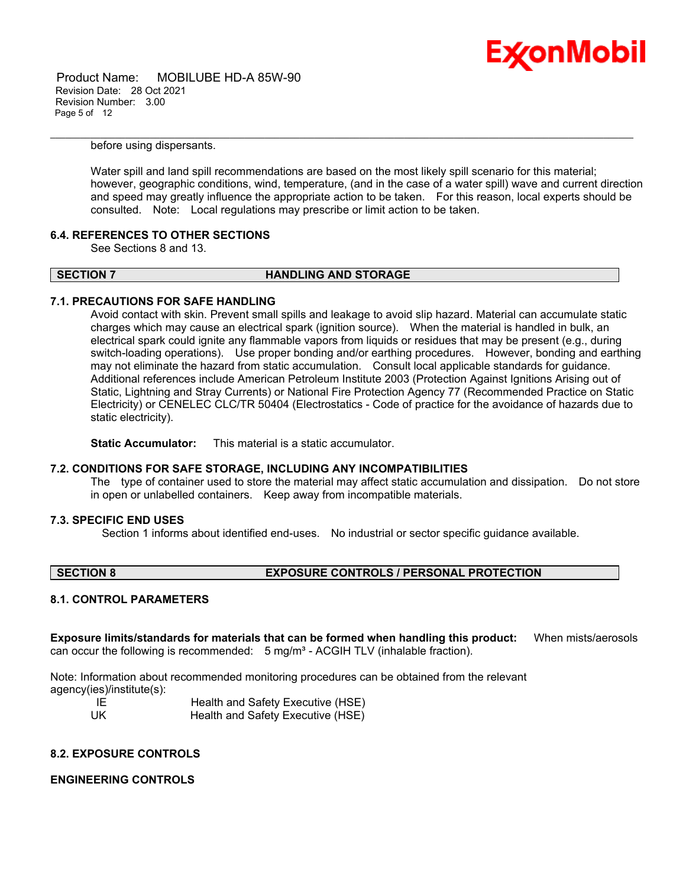

 Product Name: MOBILUBE HD-A 85W-90 Revision Date: 28 Oct 2021 Revision Number: 3.00 Page 5 of 12

before using dispersants.

Water spill and land spill recommendations are based on the most likely spill scenario for this material; however, geographic conditions, wind, temperature, (and in the case of a water spill) wave and current direction and speed may greatly influence the appropriate action to be taken. For this reason, local experts should be consulted. Note: Local regulations may prescribe or limit action to be taken.

#### **6.4. REFERENCES TO OTHER SECTIONS**

See Sections 8 and 13.

#### **SECTION 7 HANDLING AND STORAGE**

\_\_\_\_\_\_\_\_\_\_\_\_\_\_\_\_\_\_\_\_\_\_\_\_\_\_\_\_\_\_\_\_\_\_\_\_\_\_\_\_\_\_\_\_\_\_\_\_\_\_\_\_\_\_\_\_\_\_\_\_\_\_\_\_\_\_\_\_\_\_\_\_\_\_\_\_\_\_\_\_\_\_\_\_\_\_\_\_\_\_\_\_\_\_\_\_\_\_\_\_\_\_\_\_\_\_\_\_\_\_\_\_\_\_\_\_\_

#### **7.1. PRECAUTIONS FOR SAFE HANDLING**

Avoid contact with skin. Prevent small spills and leakage to avoid slip hazard. Material can accumulate static charges which may cause an electrical spark (ignition source). When the material is handled in bulk, an electrical spark could ignite any flammable vapors from liquids or residues that may be present (e.g., during switch-loading operations). Use proper bonding and/or earthing procedures. However, bonding and earthing may not eliminate the hazard from static accumulation. Consult local applicable standards for guidance. Additional references include American Petroleum Institute 2003 (Protection Against Ignitions Arising out of Static, Lightning and Stray Currents) or National Fire Protection Agency 77 (Recommended Practice on Static Electricity) or CENELEC CLC/TR 50404 (Electrostatics - Code of practice for the avoidance of hazards due to static electricity).

**Static Accumulator:** This material is a static accumulator.

#### **7.2. CONDITIONS FOR SAFE STORAGE, INCLUDING ANY INCOMPATIBILITIES**

The type of container used to store the material may affect static accumulation and dissipation. Do not store in open or unlabelled containers. Keep away from incompatible materials.

#### **7.3. SPECIFIC END USES**

Section 1 informs about identified end-uses. No industrial or sector specific guidance available.

### **SECTION 8 EXPOSURE CONTROLS / PERSONAL PROTECTION**

### **8.1. CONTROL PARAMETERS**

**Exposure limits/standards for materials that can be formed when handling this product:** When mists/aerosols can occur the following is recommended:  $5$  mg/m<sup>3</sup> - ACGIH TLV (inhalable fraction).

Note: Information about recommended monitoring procedures can be obtained from the relevant agency(ies)/institute(s):

| - IE | Health and Safety Executive (HSE) |
|------|-----------------------------------|
| UK   | Health and Safety Executive (HSE) |

#### **8.2. EXPOSURE CONTROLS**

#### **ENGINEERING CONTROLS**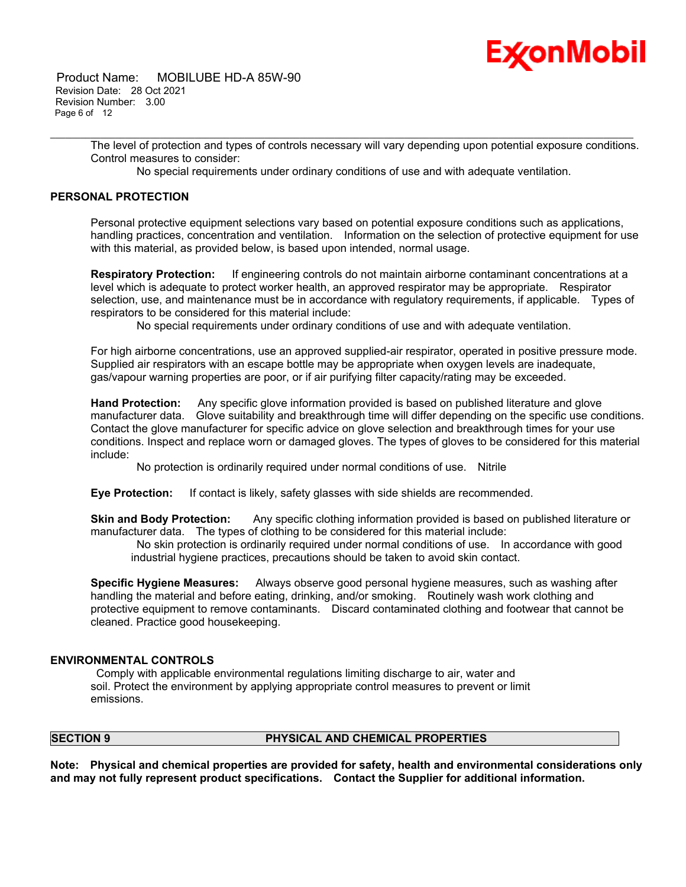# Ex⁄onMobil

 Product Name: MOBILUBE HD-A 85W-90 Revision Date: 28 Oct 2021 Revision Number: 3.00 Page 6 of 12

> The level of protection and types of controls necessary will vary depending upon potential exposure conditions. Control measures to consider:

No special requirements under ordinary conditions of use and with adequate ventilation.

\_\_\_\_\_\_\_\_\_\_\_\_\_\_\_\_\_\_\_\_\_\_\_\_\_\_\_\_\_\_\_\_\_\_\_\_\_\_\_\_\_\_\_\_\_\_\_\_\_\_\_\_\_\_\_\_\_\_\_\_\_\_\_\_\_\_\_\_\_\_\_\_\_\_\_\_\_\_\_\_\_\_\_\_\_\_\_\_\_\_\_\_\_\_\_\_\_\_\_\_\_\_\_\_\_\_\_\_\_\_\_\_\_\_\_\_\_

#### **PERSONAL PROTECTION**

Personal protective equipment selections vary based on potential exposure conditions such as applications, handling practices, concentration and ventilation. Information on the selection of protective equipment for use with this material, as provided below, is based upon intended, normal usage.

**Respiratory Protection:** If engineering controls do not maintain airborne contaminant concentrations at a level which is adequate to protect worker health, an approved respirator may be appropriate. Respirator selection, use, and maintenance must be in accordance with regulatory requirements, if applicable. Types of respirators to be considered for this material include:

No special requirements under ordinary conditions of use and with adequate ventilation.

For high airborne concentrations, use an approved supplied-air respirator, operated in positive pressure mode. Supplied air respirators with an escape bottle may be appropriate when oxygen levels are inadequate, gas/vapour warning properties are poor, or if air purifying filter capacity/rating may be exceeded.

**Hand Protection:** Any specific glove information provided is based on published literature and glove manufacturer data. Glove suitability and breakthrough time will differ depending on the specific use conditions. Contact the glove manufacturer for specific advice on glove selection and breakthrough times for your use conditions. Inspect and replace worn or damaged gloves. The types of gloves to be considered for this material include:

No protection is ordinarily required under normal conditions of use. Nitrile

**Eye Protection:** If contact is likely, safety glasses with side shields are recommended.

**Skin and Body Protection:** Any specific clothing information provided is based on published literature or manufacturer data. The types of clothing to be considered for this material include:

No skin protection is ordinarily required under normal conditions of use. In accordance with good industrial hygiene practices, precautions should be taken to avoid skin contact.

**Specific Hygiene Measures:** Always observe good personal hygiene measures, such as washing after handling the material and before eating, drinking, and/or smoking. Routinely wash work clothing and protective equipment to remove contaminants. Discard contaminated clothing and footwear that cannot be cleaned. Practice good housekeeping.

#### **ENVIRONMENTAL CONTROLS**

Comply with applicable environmental regulations limiting discharge to air, water and soil. Protect the environment by applying appropriate control measures to prevent or limit emissions.

### **SECTION 9 PHYSICAL AND CHEMICAL PROPERTIES**

**Note: Physical and chemical properties are provided for safety, health and environmental considerations only and may not fully represent product specifications. Contact the Supplier for additional information.**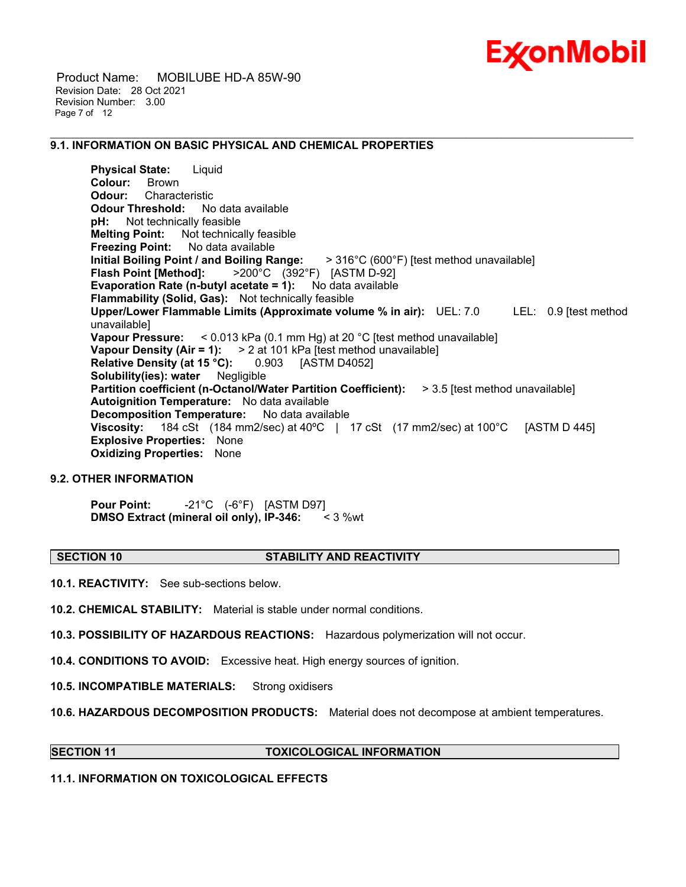

 Product Name: MOBILUBE HD-A 85W-90 Revision Date: 28 Oct 2021 Revision Number: 3.00 Page 7 of 12

#### **9.1. INFORMATION ON BASIC PHYSICAL AND CHEMICAL PROPERTIES**

**Physical State:** Liquid **Colour:** Brown **Odour:** Characteristic **Odour Threshold:** No data available **pH:** Not technically feasible **Melting Point:** Not technically feasible **Freezing Point:** No data available **Initial Boiling Point / and Boiling Range:** > 316°C (600°F) [test method unavailable] **Flash Point [Method]:** >200°C (392°F) [ASTM D-92] **Evaporation Rate (n-butyl acetate = 1):** No data available **Flammability (Solid, Gas):** Not technically feasible **Upper/Lower Flammable Limits (Approximate volume % in air):** UEL: 7.0 LEL: 0.9 [test method unavailable] **Vapour Pressure:** < 0.013 kPa (0.1 mm Hg) at 20 °C [test method unavailable] **Vapour Density (Air = 1):** > 2 at 101 kPa [test method unavailable] **Relative Density (at 15 °C):** 0.903 [ASTM D4052] **Solubility(ies): water** Negligible **Partition coefficient (n-Octanol/Water Partition Coefficient):** > 3.5 [test method unavailable] **Autoignition Temperature:** No data available **Decomposition Temperature: Viscosity:** 184 cSt (184 mm2/sec) at 40°C | 17 cSt (17 mm2/sec) at 100°C [ASTM D 445] **Explosive Properties:** None **Oxidizing Properties:** None

\_\_\_\_\_\_\_\_\_\_\_\_\_\_\_\_\_\_\_\_\_\_\_\_\_\_\_\_\_\_\_\_\_\_\_\_\_\_\_\_\_\_\_\_\_\_\_\_\_\_\_\_\_\_\_\_\_\_\_\_\_\_\_\_\_\_\_\_\_\_\_\_\_\_\_\_\_\_\_\_\_\_\_\_\_\_\_\_\_\_\_\_\_\_\_\_\_\_\_\_\_\_\_\_\_\_\_\_\_\_\_\_\_\_\_\_\_

#### **9.2. OTHER INFORMATION**

**Pour Point:** -21°C (-6°F) [ASTM D97] **DMSO** Extract (mineral oil only), IP-346:

#### **SECTION 10 STABILITY AND REACTIVITY**

**10.1. REACTIVITY:** See sub-sections below.

**10.2. CHEMICAL STABILITY:** Material is stable under normal conditions.

**10.3. POSSIBILITY OF HAZARDOUS REACTIONS:** Hazardous polymerization will not occur.

**10.4. CONDITIONS TO AVOID:** Excessive heat. High energy sources of ignition.

**10.5. INCOMPATIBLE MATERIALS:** Strong oxidisers

**10.6. HAZARDOUS DECOMPOSITION PRODUCTS:** Material does not decompose at ambient temperatures.

#### **SECTION 11 TOXICOLOGICAL INFORMATION**

**11.1. INFORMATION ON TOXICOLOGICAL EFFECTS**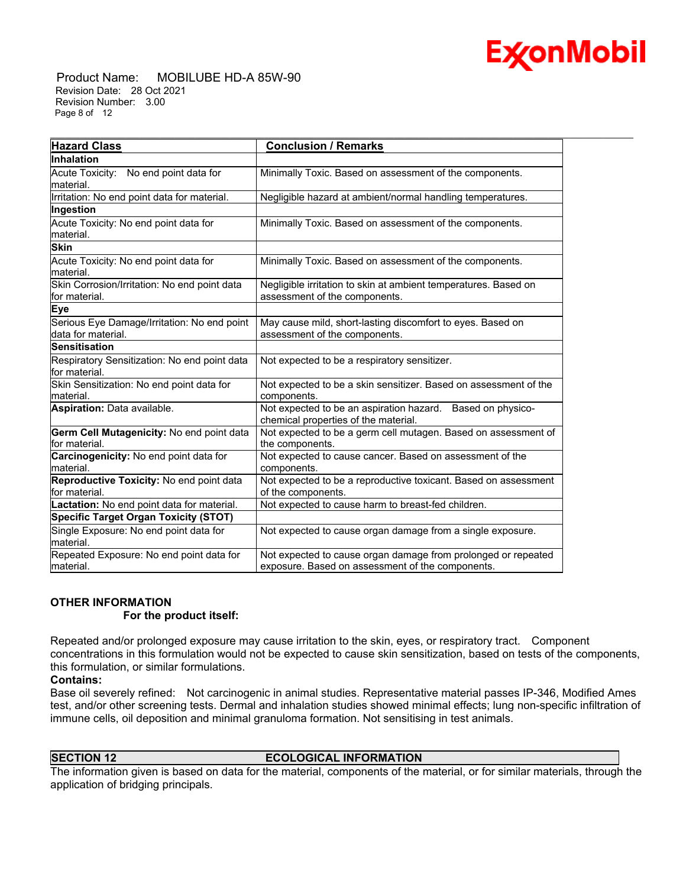## Ex⁄onMobil

 Product Name: MOBILUBE HD-A 85W-90 Revision Date: 28 Oct 2021 Revision Number: 3.00 Page 8 of 12

| <b>Hazard Class</b>                                               | <b>Conclusion / Remarks</b>                                                                                       |  |
|-------------------------------------------------------------------|-------------------------------------------------------------------------------------------------------------------|--|
| <b>Inhalation</b>                                                 |                                                                                                                   |  |
| Acute Toxicity: No end point data for<br>material.                | Minimally Toxic. Based on assessment of the components.                                                           |  |
| Irritation: No end point data for material.                       | Negligible hazard at ambient/normal handling temperatures.                                                        |  |
| Ingestion                                                         |                                                                                                                   |  |
| Acute Toxicity: No end point data for<br>material.                | Minimally Toxic. Based on assessment of the components.                                                           |  |
| <b>Skin</b>                                                       |                                                                                                                   |  |
| Acute Toxicity: No end point data for<br>material.                | Minimally Toxic. Based on assessment of the components.                                                           |  |
| Skin Corrosion/Irritation: No end point data<br>lfor material.    | Negligible irritation to skin at ambient temperatures. Based on<br>assessment of the components.                  |  |
| Eye                                                               |                                                                                                                   |  |
| Serious Eye Damage/Irritation: No end point<br>data for material. | May cause mild, short-lasting discomfort to eyes. Based on<br>assessment of the components.                       |  |
| Sensitisation                                                     |                                                                                                                   |  |
| Respiratory Sensitization: No end point data<br>lfor material.    | Not expected to be a respiratory sensitizer.                                                                      |  |
| Skin Sensitization: No end point data for<br>material.            | Not expected to be a skin sensitizer. Based on assessment of the<br>components.                                   |  |
| Aspiration: Data available.                                       | Not expected to be an aspiration hazard. Based on physico-<br>chemical properties of the material.                |  |
| Germ Cell Mutagenicity: No end point data<br>for material.        | Not expected to be a germ cell mutagen. Based on assessment of<br>the components.                                 |  |
| Carcinogenicity: No end point data for<br>material.               | Not expected to cause cancer. Based on assessment of the<br>components.                                           |  |
| Reproductive Toxicity: No end point data<br>for material.         | Not expected to be a reproductive toxicant. Based on assessment<br>of the components.                             |  |
| Lactation: No end point data for material.                        | Not expected to cause harm to breast-fed children.                                                                |  |
| <b>Specific Target Organ Toxicity (STOT)</b>                      |                                                                                                                   |  |
| Single Exposure: No end point data for<br>material.               | Not expected to cause organ damage from a single exposure.                                                        |  |
| Repeated Exposure: No end point data for<br>material.             | Not expected to cause organ damage from prolonged or repeated<br>exposure. Based on assessment of the components. |  |

### **OTHER INFORMATION**

#### **For the product itself:**

Repeated and/or prolonged exposure may cause irritation to the skin, eyes, or respiratory tract. Component concentrations in this formulation would not be expected to cause skin sensitization, based on tests of the components, this formulation, or similar formulations.

### **Contains:**

Base oil severely refined: Not carcinogenic in animal studies. Representative material passes IP-346, Modified Ames test, and/or other screening tests. Dermal and inhalation studies showed minimal effects; lung non-specific infiltration of immune cells, oil deposition and minimal granuloma formation. Not sensitising in test animals.

### **SECTION 12 ECOLOGICAL INFORMATION**

The information given is based on data for the material, components of the material, or for similar materials, through the application of bridging principals.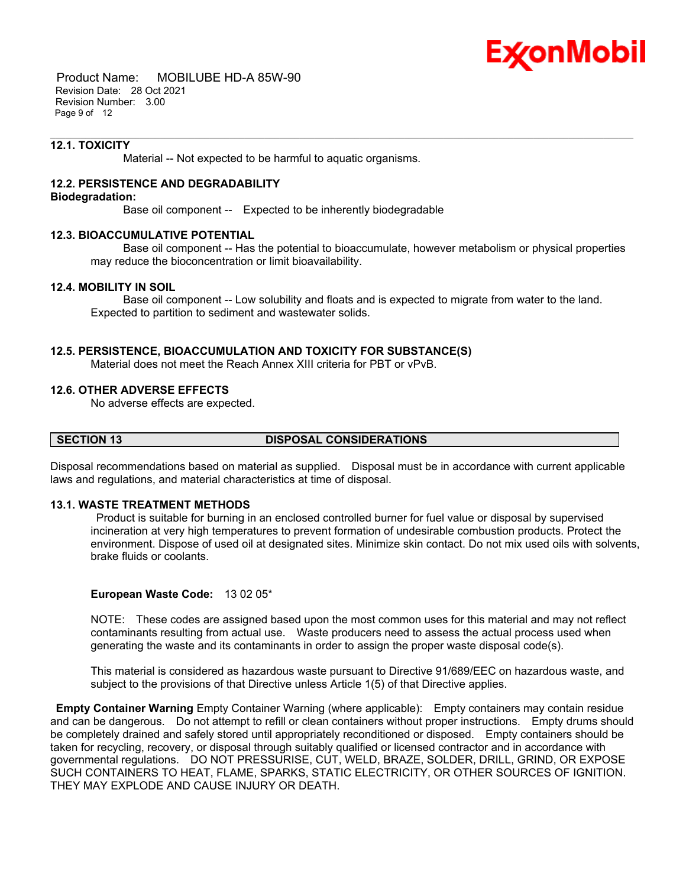

 Product Name: MOBILUBE HD-A 85W-90 Revision Date: 28 Oct 2021 Revision Number: 3.00 Page 9 of 12

#### **12.1. TOXICITY**

Material -- Not expected to be harmful to aquatic organisms.

#### **12.2. PERSISTENCE AND DEGRADABILITY**

#### **Biodegradation:**

Base oil component -- Expected to be inherently biodegradable

#### **12.3. BIOACCUMULATIVE POTENTIAL**

 Base oil component -- Has the potential to bioaccumulate, however metabolism or physical properties may reduce the bioconcentration or limit bioavailability.

#### **12.4. MOBILITY IN SOIL**

 Base oil component -- Low solubility and floats and is expected to migrate from water to the land. Expected to partition to sediment and wastewater solids.

\_\_\_\_\_\_\_\_\_\_\_\_\_\_\_\_\_\_\_\_\_\_\_\_\_\_\_\_\_\_\_\_\_\_\_\_\_\_\_\_\_\_\_\_\_\_\_\_\_\_\_\_\_\_\_\_\_\_\_\_\_\_\_\_\_\_\_\_\_\_\_\_\_\_\_\_\_\_\_\_\_\_\_\_\_\_\_\_\_\_\_\_\_\_\_\_\_\_\_\_\_\_\_\_\_\_\_\_\_\_\_\_\_\_\_\_\_

#### **12.5. PERSISTENCE, BIOACCUMULATION AND TOXICITY FOR SUBSTANCE(S)**

Material does not meet the Reach Annex XIII criteria for PBT or vPvB.

#### **12.6. OTHER ADVERSE EFFECTS**

No adverse effects are expected.

### **SECTION 13 DISPOSAL CONSIDERATIONS**

Disposal recommendations based on material as supplied. Disposal must be in accordance with current applicable laws and regulations, and material characteristics at time of disposal.

#### **13.1. WASTE TREATMENT METHODS**

Product is suitable for burning in an enclosed controlled burner for fuel value or disposal by supervised incineration at very high temperatures to prevent formation of undesirable combustion products. Protect the environment. Dispose of used oil at designated sites. Minimize skin contact. Do not mix used oils with solvents, brake fluids or coolants.

#### **European Waste Code:** 13 02 05\*

NOTE: These codes are assigned based upon the most common uses for this material and may not reflect contaminants resulting from actual use. Waste producers need to assess the actual process used when generating the waste and its contaminants in order to assign the proper waste disposal code(s).

This material is considered as hazardous waste pursuant to Directive 91/689/EEC on hazardous waste, and subject to the provisions of that Directive unless Article 1(5) of that Directive applies.

**Empty Container Warning** Empty Container Warning (where applicable): Empty containers may contain residue and can be dangerous. Do not attempt to refill or clean containers without proper instructions. Empty drums should be completely drained and safely stored until appropriately reconditioned or disposed. Empty containers should be taken for recycling, recovery, or disposal through suitably qualified or licensed contractor and in accordance with governmental regulations. DO NOT PRESSURISE, CUT, WELD, BRAZE, SOLDER, DRILL, GRIND, OR EXPOSE SUCH CONTAINERS TO HEAT, FLAME, SPARKS, STATIC ELECTRICITY, OR OTHER SOURCES OF IGNITION. THEY MAY EXPLODE AND CAUSE INJURY OR DEATH.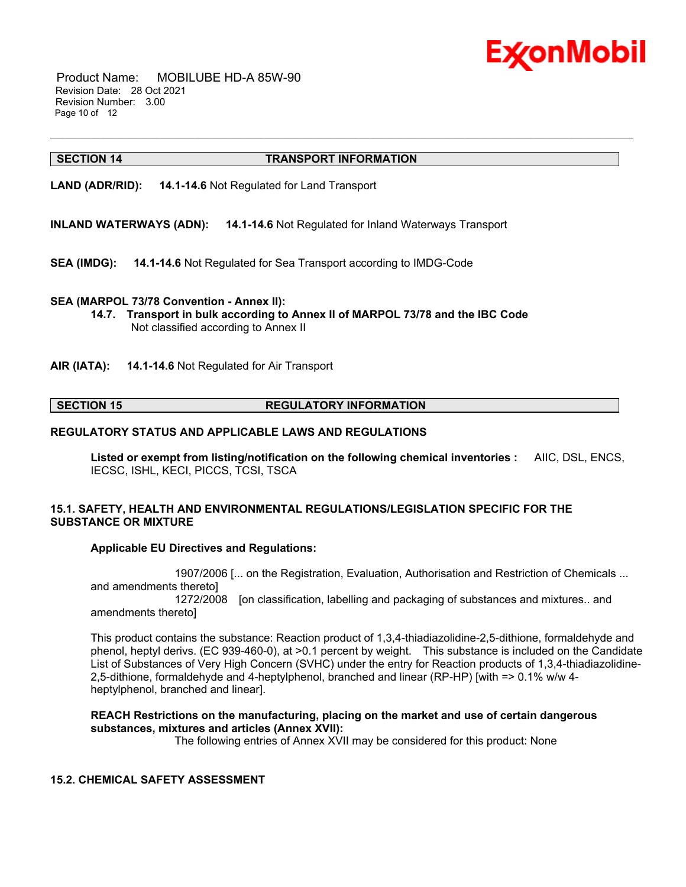

 Product Name: MOBILUBE HD-A 85W-90 Revision Date: 28 Oct 2021 Revision Number: 3.00 Page 10 of 12

#### **SECTION 14 TRANSPORT INFORMATION**

**LAND (ADR/RID): 14.1-14.6** Not Regulated for Land Transport

**INLAND WATERWAYS (ADN): 14.1-14.6** Not Regulated for Inland Waterways Transport

**SEA (IMDG): 14.1-14.6** Not Regulated for Sea Transport according to IMDG-Code

#### **SEA (MARPOL 73/78 Convention - Annex II):**

**14.7. Transport in bulk according to Annex II of MARPOL 73/78 and the IBC Code** Not classified according to Annex II

\_\_\_\_\_\_\_\_\_\_\_\_\_\_\_\_\_\_\_\_\_\_\_\_\_\_\_\_\_\_\_\_\_\_\_\_\_\_\_\_\_\_\_\_\_\_\_\_\_\_\_\_\_\_\_\_\_\_\_\_\_\_\_\_\_\_\_\_\_\_\_\_\_\_\_\_\_\_\_\_\_\_\_\_\_\_\_\_\_\_\_\_\_\_\_\_\_\_\_\_\_\_\_\_\_\_\_\_\_\_\_\_\_\_\_\_\_

**AIR (IATA): 14.1-14.6** Not Regulated for Air Transport

#### **SECTION 15 REGULATORY INFORMATION**

#### **REGULATORY STATUS AND APPLICABLE LAWS AND REGULATIONS**

**Listed or exempt from listing/notification on the following chemical inventories :** AIIC, DSL, ENCS, IECSC, ISHL, KECI, PICCS, TCSI, TSCA

#### **15.1. SAFETY, HEALTH AND ENVIRONMENTAL REGULATIONS/LEGISLATION SPECIFIC FOR THE SUBSTANCE OR MIXTURE**

#### **Applicable EU Directives and Regulations:**

 1907/2006 [... on the Registration, Evaluation, Authorisation and Restriction of Chemicals ... and amendments thereto] 1272/2008 [on classification, labelling and packaging of substances and mixtures.. and amendments thereto]

This product contains the substance: Reaction product of 1,3,4-thiadiazolidine-2,5-dithione, formaldehyde and phenol, heptyl derivs. (EC 939-460-0), at >0.1 percent by weight. This substance is included on the Candidate List of Substances of Very High Concern (SVHC) under the entry for Reaction products of 1,3,4-thiadiazolidine-2,5-dithione, formaldehyde and 4-heptylphenol, branched and linear (RP-HP) [with => 0.1% w/w 4 heptylphenol, branched and linear].

#### **REACH Restrictions on the manufacturing, placing on the market and use of certain dangerous substances, mixtures and articles (Annex XVII):**

The following entries of Annex XVII may be considered for this product: None

#### **15.2. CHEMICAL SAFETY ASSESSMENT**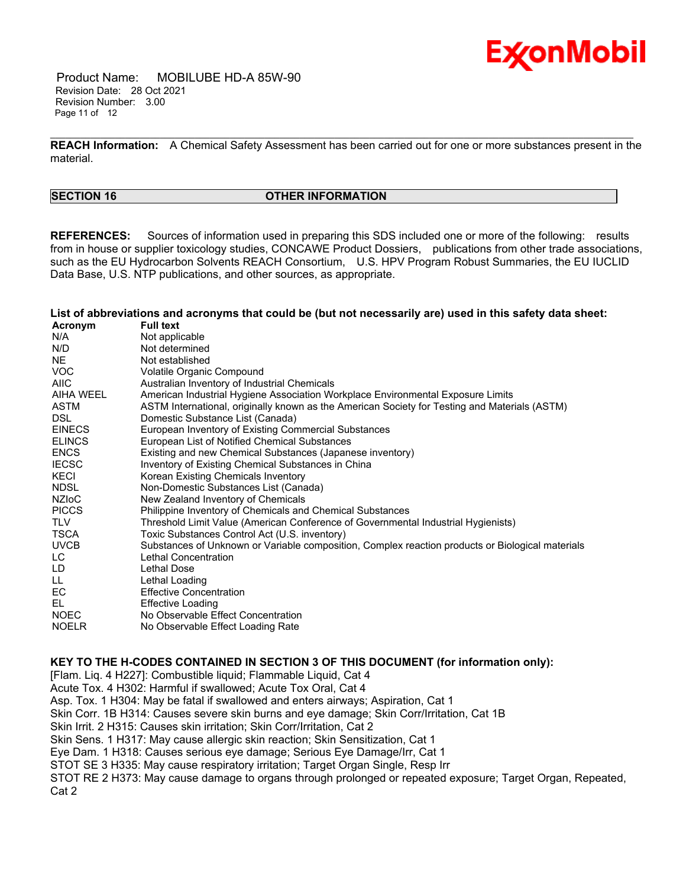

 Product Name: MOBILUBE HD-A 85W-90 Revision Date: 28 Oct 2021 Revision Number: 3.00 Page 11 of 12

\_\_\_\_\_\_\_\_\_\_\_\_\_\_\_\_\_\_\_\_\_\_\_\_\_\_\_\_\_\_\_\_\_\_\_\_\_\_\_\_\_\_\_\_\_\_\_\_\_\_\_\_\_\_\_\_\_\_\_\_\_\_\_\_\_\_\_\_\_\_\_\_\_\_\_\_\_\_\_\_\_\_\_\_\_\_\_\_\_\_\_\_\_\_\_\_\_\_\_\_\_\_\_\_\_\_\_\_\_\_\_\_\_\_\_\_\_ **REACH Information:** A Chemical Safety Assessment has been carried out for one or more substances present in the material.

#### **SECTION 16 OTHER INFORMATION**

**REFERENCES:** Sources of information used in preparing this SDS included one or more of the following: results from in house or supplier toxicology studies, CONCAWE Product Dossiers, publications from other trade associations, such as the EU Hydrocarbon Solvents REACH Consortium, U.S. HPV Program Robust Summaries, the EU IUCLID Data Base, U.S. NTP publications, and other sources, as appropriate.

List of abbreviations and acronyms that could be (but not necessarily are) used in this safety data sheet:

| Acronym       | <b>Full text</b>                                                                                 |
|---------------|--------------------------------------------------------------------------------------------------|
| N/A           | Not applicable                                                                                   |
| N/D           | Not determined                                                                                   |
| <b>NE</b>     | Not established                                                                                  |
| <b>VOC</b>    | Volatile Organic Compound                                                                        |
| <b>AIIC</b>   | Australian Inventory of Industrial Chemicals                                                     |
| AIHA WEEL     | American Industrial Hygiene Association Workplace Environmental Exposure Limits                  |
| ASTM          | ASTM International, originally known as the American Society for Testing and Materials (ASTM)    |
| <b>DSL</b>    | Domestic Substance List (Canada)                                                                 |
| <b>EINECS</b> | European Inventory of Existing Commercial Substances                                             |
| <b>ELINCS</b> | European List of Notified Chemical Substances                                                    |
| <b>ENCS</b>   | Existing and new Chemical Substances (Japanese inventory)                                        |
| <b>IECSC</b>  | Inventory of Existing Chemical Substances in China                                               |
| KECI          | Korean Existing Chemicals Inventory                                                              |
| NDSL          | Non-Domestic Substances List (Canada)                                                            |
| NZIoC         | New Zealand Inventory of Chemicals                                                               |
| <b>PICCS</b>  | Philippine Inventory of Chemicals and Chemical Substances                                        |
| <b>TLV</b>    | Threshold Limit Value (American Conference of Governmental Industrial Hygienists)                |
| <b>TSCA</b>   | Toxic Substances Control Act (U.S. inventory)                                                    |
| <b>UVCB</b>   | Substances of Unknown or Variable composition, Complex reaction products or Biological materials |
| LC.           | Lethal Concentration                                                                             |
| LD            | <b>Lethal Dose</b>                                                                               |
| LL.           | Lethal Loading                                                                                   |
| EC.           | <b>Effective Concentration</b>                                                                   |
| EL            | <b>Effective Loading</b>                                                                         |
| <b>NOEC</b>   | No Observable Effect Concentration                                                               |
| <b>NOELR</b>  | No Observable Effect Loading Rate                                                                |
|               |                                                                                                  |

**KEY TO THE H-CODES CONTAINED IN SECTION 3 OF THIS DOCUMENT (for information only):**

[Flam. Liq. 4 H227]: Combustible liquid; Flammable Liquid, Cat 4

Acute Tox. 4 H302: Harmful if swallowed; Acute Tox Oral, Cat 4

Asp. Tox. 1 H304: May be fatal if swallowed and enters airways; Aspiration, Cat 1

Skin Corr. 1B H314: Causes severe skin burns and eye damage; Skin Corr/Irritation, Cat 1B

Skin Irrit. 2 H315: Causes skin irritation; Skin Corr/Irritation, Cat 2

Skin Sens. 1 H317: May cause allergic skin reaction; Skin Sensitization, Cat 1

Eye Dam. 1 H318: Causes serious eye damage; Serious Eye Damage/Irr, Cat 1

STOT SE 3 H335: May cause respiratory irritation; Target Organ Single, Resp Irr

STOT RE 2 H373: May cause damage to organs through prolonged or repeated exposure; Target Organ, Repeated, Cat 2